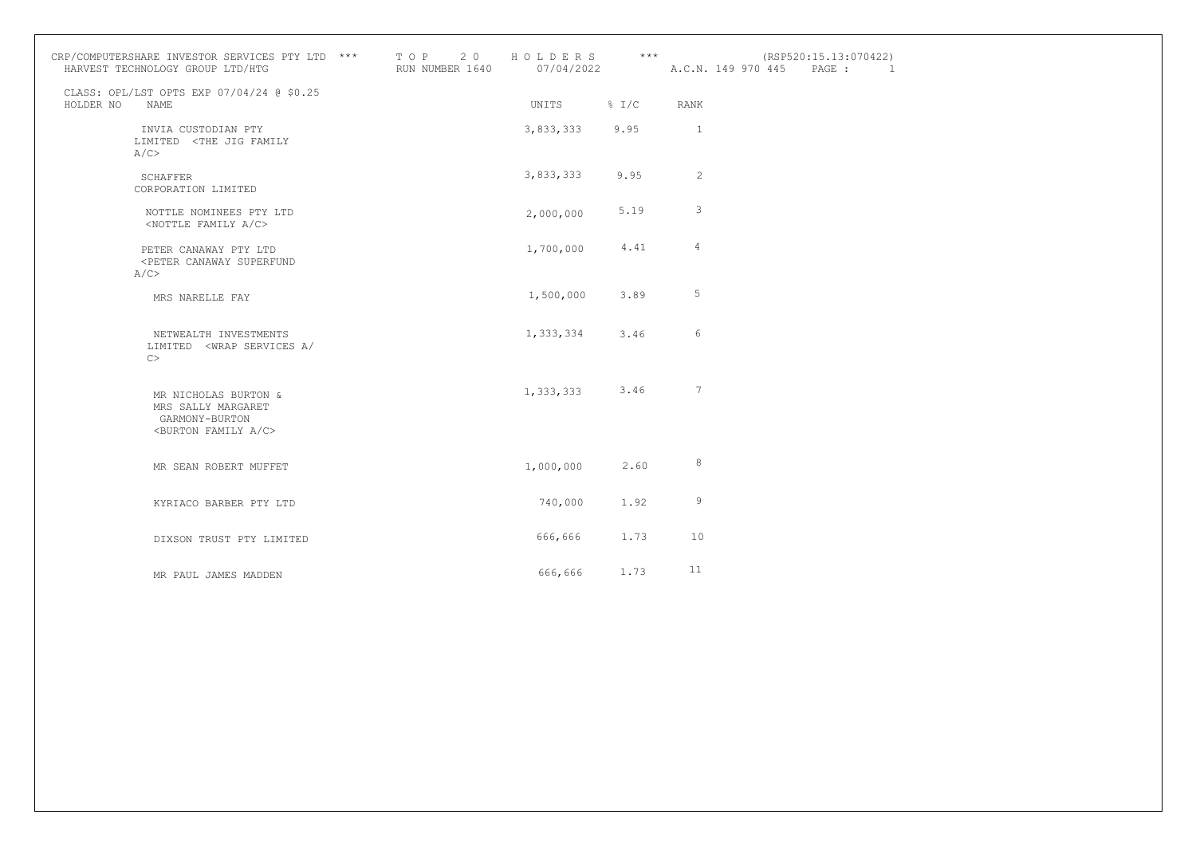| CRP/COMPUTERSHARE INVESTOR SERVICES PTY LTD $***$ T O P 2 0<br>HARVEST TECHNOLOGY GROUP LTD/HTG       | T O P 2 0 H O L D E R S *** (RSP520)<br>RUN NUMBER 1640 07/04/2022 A.C.N. 149 970 445 |                    |      |                          | (RSP520:15.13:070422)<br>PAGE : | <sup>1</sup> |
|-------------------------------------------------------------------------------------------------------|---------------------------------------------------------------------------------------|--------------------|------|--------------------------|---------------------------------|--------------|
| CLASS: OPL/LST OPTS EXP 07/04/24 @ \$0.25<br>HOLDER NO<br>NAME                                        |                                                                                       | UNITS % I/C        |      | <b>RANK</b>              |                                 |              |
| INVIA CUSTODIAN PTY<br>LIMITED <the family<br="" jig="">A/C</the>                                     |                                                                                       | 3,833,333 9.95     |      | $\overline{\phantom{0}}$ |                                 |              |
| SCHAFFER<br>CORPORATION LIMITED                                                                       |                                                                                       | 3,833,333          | 9.95 | $\overline{2}$           |                                 |              |
| NOTTLE NOMINEES PTY LTD<br><nottle a="" c="" family=""></nottle>                                      |                                                                                       | 2,000,000          | 5.19 | 3                        |                                 |              |
| PETER CANAWAY PTY LTD<br><peter canaway="" superfund<br="">A/C</peter>                                |                                                                                       | 1,700,000          | 4.41 | $\overline{4}$           |                                 |              |
| MRS NARELLE FAY                                                                                       |                                                                                       | 1,500,000          | 3.89 | 5                        |                                 |              |
| NETWEALTH INVESTMENTS<br>LIMITED <wrap <br="" a="" services="">C</wrap>                               |                                                                                       | 1,333,334          | 3.46 | 6                        |                                 |              |
| MR NICHOLAS BURTON &<br>MRS SALLY MARGARET<br>GARMONY-BURTON<br><burton a="" c="" family=""></burton> |                                                                                       | $1,333,333$ $3.46$ |      | $7\phantom{.0}$          |                                 |              |
| MR SEAN ROBERT MUFFET                                                                                 |                                                                                       | 1,000,000          | 2.60 | 8                        |                                 |              |
| KYRIACO BARBER PTY LTD                                                                                |                                                                                       | 740,000            | 1.92 | 9                        |                                 |              |
| DIXSON TRUST PTY LIMITED                                                                              |                                                                                       | 666,666            | 1.73 | 10                       |                                 |              |
| MR PAUL JAMES MADDEN                                                                                  |                                                                                       | 666,666 1.73       |      | 11                       |                                 |              |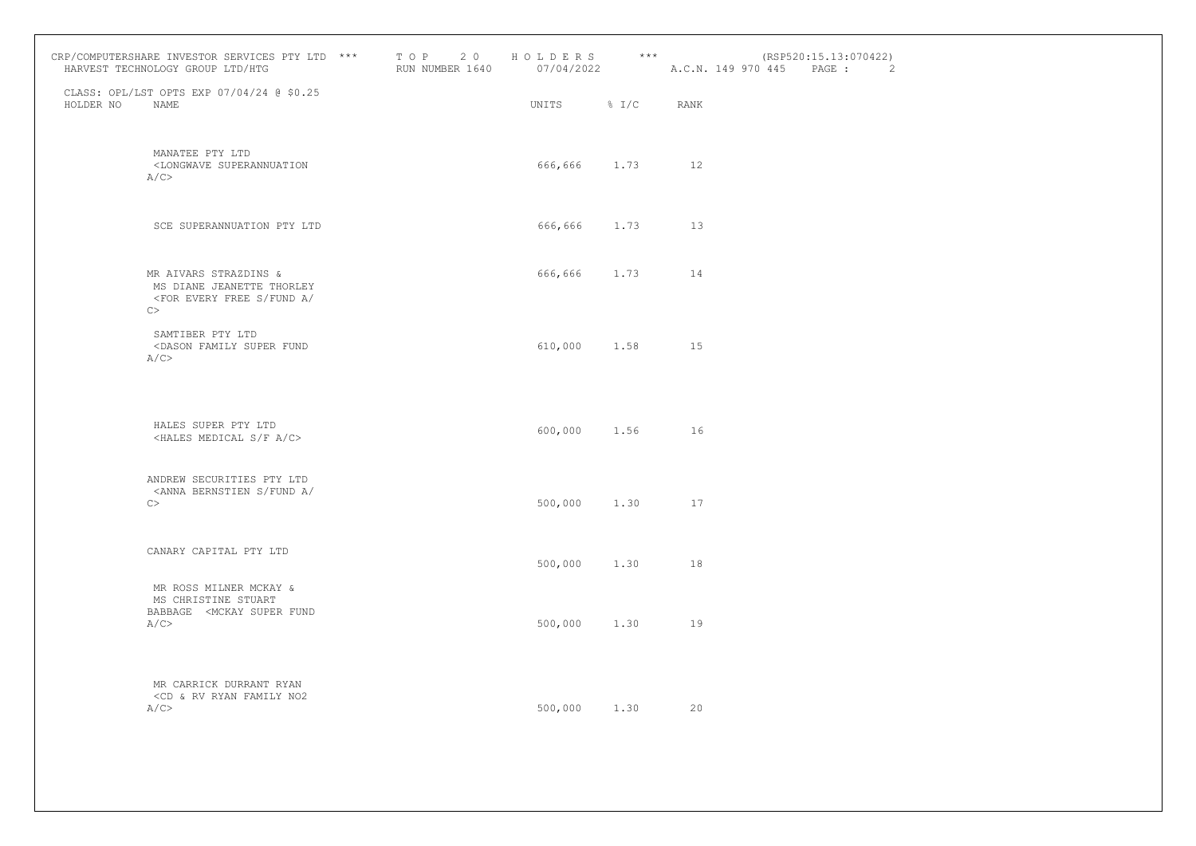|           | CRP/COMPUTERSHARE INVESTOR SERVICES PTY LTD *** TOP 20<br>HARVEST TECHNOLOGY GROUP LTD/HTG                   | RUN NUMBER 1640 | HOLDERS ***<br>07/04/2022 A.C.N. 149 970 445 |      |             | (RSP520:15.13:070422)<br>PAGE : | $\sim$ 2 |
|-----------|--------------------------------------------------------------------------------------------------------------|-----------------|----------------------------------------------|------|-------------|---------------------------------|----------|
| HOLDER NO | CLASS: OPL/LST OPTS EXP 07/04/24 @ \$0.25<br><b>NAME</b>                                                     |                 | UNITS % I/C                                  |      | <b>RANK</b> |                                 |          |
|           | MANATEE PTY LTD<br><longwave superannuation<br="">A/C</longwave>                                             |                 | 666,666 1.73 12                              |      |             |                                 |          |
|           | SCE SUPERANNUATION PTY LTD                                                                                   |                 | 666,666 1.73                                 |      | 13          |                                 |          |
|           | MR AIVARS STRAZDINS &<br>MS DIANE JEANETTE THORLEY<br><for <br="" a="" every="" free="" fund="" s="">C</for> |                 | 666,666 1.73                                 |      | 14          |                                 |          |
|           | SAMTIBER PTY LTD<br><dason family="" fund<br="" super="">A/C</dason>                                         |                 | 610,000 1.58 15                              |      |             |                                 |          |
|           | HALES SUPER PTY LTD<br><hales a="" c="" f="" medical="" s=""></hales>                                        |                 | 600,000 1.56 16                              |      |             |                                 |          |
|           | ANDREW SECURITIES PTY LTD<br><anna <br="" a="" bernstien="" fund="" s="">C</anna>                            |                 | 500,000                                      | 1.30 | 17          |                                 |          |
|           | CANARY CAPITAL PTY LTD                                                                                       |                 | 500,000                                      | 1.30 | 18          |                                 |          |
|           | MR ROSS MILNER MCKAY &<br>MS CHRISTINE STUART<br>BABBAGE <mckay fund<br="" super="">A/C</mckay>              |                 | 500,000 1.30                                 |      | 19          |                                 |          |
|           | MR CARRICK DURRANT RYAN<br><cd &="" family="" no2<br="" rv="" ryan="">A/C</cd>                               |                 | 500,000 1.30                                 |      | 20          |                                 |          |